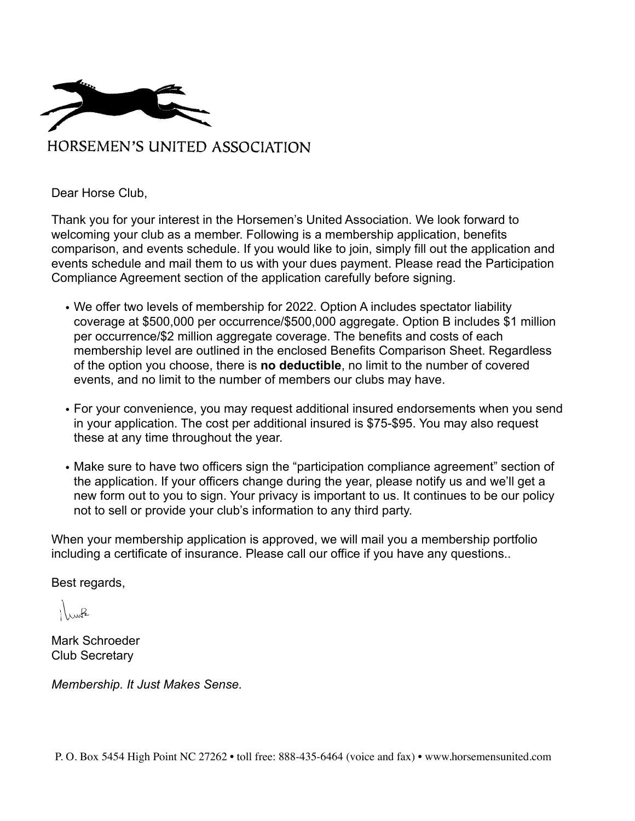

Dear Horse Club,

Thank you for your interest in the Horsemen's United Association. We look forward to welcoming your club as a member. Following is a membership application, benefits comparison, and events schedule. If you would like to join, simply fill out the application and events schedule and mail them to us with your dues payment. Please read the Participation Compliance Agreement section of the application carefully before signing.

- We offer two levels of membership for 2022. Option A includes spectator liability coverage at \$500,000 per occurrence/\$500,000 aggregate. Option B includes \$1 million per occurrence/\$2 million aggregate coverage. The benefits and costs of each membership level are outlined in the enclosed Benefits Comparison Sheet. Regardless of the option you choose, there is **no deductible**, no limit to the number of covered events, and no limit to the number of members our clubs may have.
- For your convenience, you may request additional insured endorsements when you send in your application. The cost per additional insured is \$75-\$95. You may also request these at any time throughout the year.
- Make sure to have two officers sign the "participation compliance agreement" section of the application. If your officers change during the year, please notify us and we'll get a new form out to you to sign. Your privacy is important to us. It continues to be our policy not to sell or provide your club's information to any third party.

When your membership application is approved, we will mail you a membership portfolio including a certificate of insurance. Please call our office if you have any questions..

Best regards,

 $\overline{R}$ 

Mark Schroeder Club Secretary

*Membership. It Just Makes Sense.*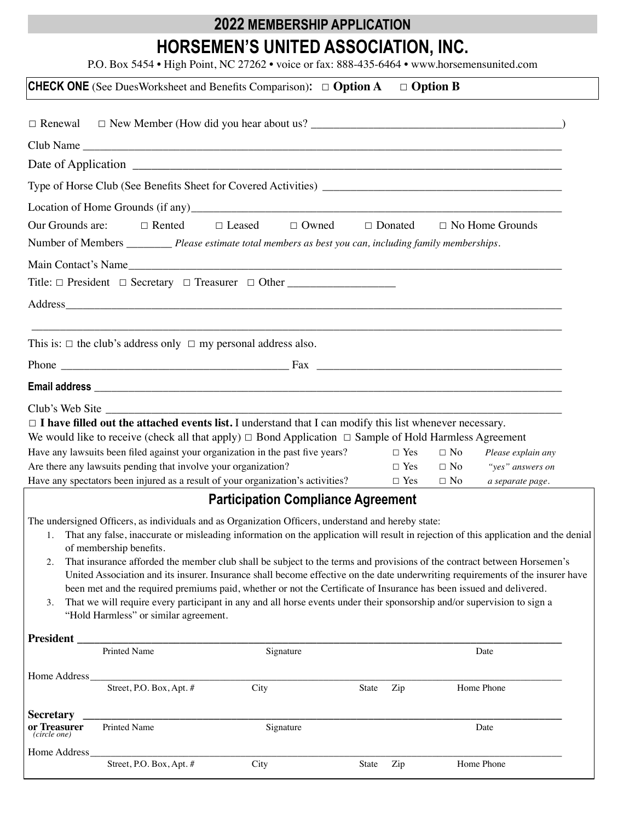# **2022 MEMBERSHIP APPLICATION HORSEMEN'S UNITED ASSOCIATION, INC.**

P.O. Box 5454 • High Point, NC 27262 • voice or fax: 888-435-6464 • www.horsemensunited.com

| $\Box$ Renewal                                                                                                                                    |                                                                                                                                                                                                                                               |                                              |       |                          |                        |                                      |
|---------------------------------------------------------------------------------------------------------------------------------------------------|-----------------------------------------------------------------------------------------------------------------------------------------------------------------------------------------------------------------------------------------------|----------------------------------------------|-------|--------------------------|------------------------|--------------------------------------|
|                                                                                                                                                   |                                                                                                                                                                                                                                               |                                              |       |                          |                        |                                      |
|                                                                                                                                                   |                                                                                                                                                                                                                                               |                                              |       |                          |                        |                                      |
|                                                                                                                                                   |                                                                                                                                                                                                                                               |                                              |       |                          |                        |                                      |
|                                                                                                                                                   |                                                                                                                                                                                                                                               |                                              |       |                          |                        |                                      |
| Our Grounds are:                                                                                                                                  | $\Box$ Rented                                                                                                                                                                                                                                 | $\Box$ Leased<br>$\Box$ Owned $\Box$ Donated |       |                          |                        | $\Box$ No Home Grounds               |
|                                                                                                                                                   | Number of Members _________ Please estimate total members as best you can, including family memberships.                                                                                                                                      |                                              |       |                          |                        |                                      |
|                                                                                                                                                   | Main Contact's Name                                                                                                                                                                                                                           |                                              |       |                          |                        |                                      |
|                                                                                                                                                   | Title: □ President □ Secretary □ Treasurer □ Other _____________________________                                                                                                                                                              |                                              |       |                          |                        |                                      |
|                                                                                                                                                   |                                                                                                                                                                                                                                               |                                              |       |                          |                        |                                      |
|                                                                                                                                                   |                                                                                                                                                                                                                                               |                                              |       |                          |                        |                                      |
|                                                                                                                                                   | This is: $\Box$ the club's address only $\Box$ my personal address also.                                                                                                                                                                      |                                              |       |                          |                        |                                      |
|                                                                                                                                                   |                                                                                                                                                                                                                                               |                                              |       |                          |                        |                                      |
|                                                                                                                                                   |                                                                                                                                                                                                                                               |                                              |       |                          |                        |                                      |
|                                                                                                                                                   |                                                                                                                                                                                                                                               |                                              |       |                          |                        |                                      |
|                                                                                                                                                   | $\Box$ <b>I have filled out the attached events list.</b> I understand that I can modify this list whenever necessary.                                                                                                                        |                                              |       |                          |                        |                                      |
|                                                                                                                                                   | We would like to receive (check all that apply) $\Box$ Bond Application $\Box$ Sample of Hold Harmless Agreement                                                                                                                              |                                              |       |                          |                        |                                      |
| Have any lawsuits been filed against your organization in the past five years?                                                                    |                                                                                                                                                                                                                                               |                                              |       | $\Box$ Yes               | $\Box$ No              | Please explain any                   |
| Are there any lawsuits pending that involve your organization?<br>Have any spectators been injured as a result of your organization's activities? |                                                                                                                                                                                                                                               |                                              |       | $\Box$ Yes<br>$\Box$ Yes | $\Box$ No<br>$\Box$ No | "yes" answers on<br>a separate page. |
|                                                                                                                                                   |                                                                                                                                                                                                                                               | <b>Participation Compliance Agreement</b>    |       |                          |                        |                                      |
|                                                                                                                                                   |                                                                                                                                                                                                                                               |                                              |       |                          |                        |                                      |
|                                                                                                                                                   | The undersigned Officers, as individuals and as Organization Officers, understand and hereby state:<br>1. That any false, inaccurate or misleading information on the application will result in rejection of this application and the denial |                                              |       |                          |                        |                                      |
|                                                                                                                                                   | of membership benefits.                                                                                                                                                                                                                       |                                              |       |                          |                        |                                      |
| 2.                                                                                                                                                | That insurance afforded the member club shall be subject to the terms and provisions of the contract between Horsemen's                                                                                                                       |                                              |       |                          |                        |                                      |
|                                                                                                                                                   | United Association and its insurer. Insurance shall become effective on the date underwriting requirements of the insurer have                                                                                                                |                                              |       |                          |                        |                                      |
|                                                                                                                                                   | been met and the required premiums paid, whether or not the Certificate of Insurance has been issued and delivered.                                                                                                                           |                                              |       |                          |                        |                                      |
| 3.                                                                                                                                                | That we will require every participant in any and all horse events under their sponsorship and/or supervision to sign a<br>"Hold Harmless" or similar agreement.                                                                              |                                              |       |                          |                        |                                      |
|                                                                                                                                                   |                                                                                                                                                                                                                                               |                                              |       |                          |                        |                                      |
| <b>President</b>                                                                                                                                  | <b>Printed Name</b>                                                                                                                                                                                                                           | Signature                                    |       |                          |                        | Date                                 |
|                                                                                                                                                   |                                                                                                                                                                                                                                               |                                              |       |                          |                        |                                      |
| Home Address_                                                                                                                                     | Street, P.O. Box, Apt. #                                                                                                                                                                                                                      | City                                         | State | Zip                      |                        | Home Phone                           |
|                                                                                                                                                   |                                                                                                                                                                                                                                               |                                              |       |                          |                        |                                      |
| <b>Secretary</b>                                                                                                                                  |                                                                                                                                                                                                                                               |                                              |       |                          |                        |                                      |
| or Treasurer<br>(circle one)                                                                                                                      | Printed Name                                                                                                                                                                                                                                  | Signature                                    |       |                          |                        | Date                                 |
| Home Address                                                                                                                                      |                                                                                                                                                                                                                                               |                                              |       |                          |                        |                                      |
|                                                                                                                                                   | Street, P.O. Box, Apt. #                                                                                                                                                                                                                      | City                                         | State | Zip                      |                        | Home Phone                           |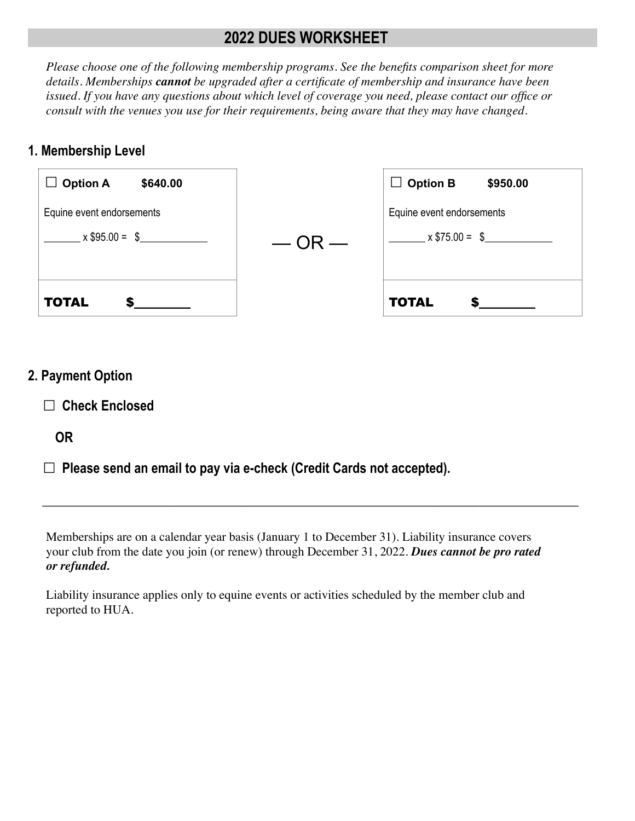### **2022 DUES WORKSHEET**

*Please choose one of the following membership programs. See the benefits comparison sheet for more details. Memberships cannot be upgraded after a certificate of membership and insurance have been issued. If you have any questions about which level of coverage you need, please contact our office or consult with the venues you use for their requirements, being aware that they may have changed.* 

#### **1. Membership Level**

| $x $95.00 = $$              | $-$ OR $-$ | $x$ \$75.00 = \$            |  |
|-----------------------------|------------|-----------------------------|--|
| Equine event endorsements   |            | Equine event endorsements   |  |
| $\Box$ Option A<br>\$640.00 |            | $\Box$ Option B<br>\$950.00 |  |

### **2. Payment Option**

☐ **Check Enclosed** 

 **OR**

☐ **Please send an email to pay via e-check (Credit Cards not accepted).**

Memberships are on a calendar year basis (January 1 to December 31). Liability insurance covers your club from the date you join (or renew) through December 31, 2022. *Dues cannot be pro rated or refunded.*

**\_\_\_\_\_\_\_\_\_\_\_\_\_\_\_\_\_\_\_\_\_\_\_\_\_\_\_\_\_\_\_\_\_\_\_\_\_\_\_\_\_\_\_\_\_\_\_\_\_\_\_\_\_\_\_\_\_\_\_\_\_\_\_\_\_\_\_\_\_\_\_\_\_\_\_\_\_\_\_\_\_**

Liability insurance applies only to equine events or activities scheduled by the member club and reported to HUA.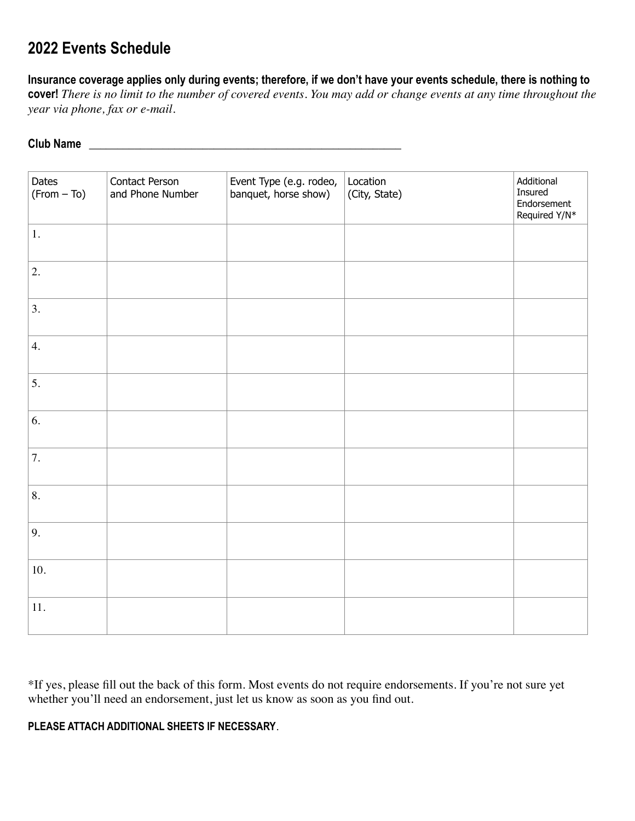### **2022 Events Schedule**

**Insurance coverage applies only during events; therefore, if we don't have your events schedule, there is nothing to cover!** *There is no limit to the number of covered events. You may add or change events at any time throughout the year via phone, fax or e-mail.* 

#### **Club Name \_\_\_\_\_\_\_\_\_\_\_\_\_\_\_\_\_\_\_\_\_\_\_\_\_\_\_\_\_\_\_\_\_\_\_\_\_\_\_\_\_\_\_\_\_\_\_\_\_\_\_\_\_\_\_**

| Dates<br>$(From - To)$ | Contact Person<br>and Phone Number | Event Type (e.g. rodeo,<br>banquet, horse show) | Location<br>(City, State) | Additional<br>Insured<br>Endorsement<br>Required Y/N* |
|------------------------|------------------------------------|-------------------------------------------------|---------------------------|-------------------------------------------------------|
| $1. \,$                |                                    |                                                 |                           |                                                       |
| 2.                     |                                    |                                                 |                           |                                                       |
| 3.                     |                                    |                                                 |                           |                                                       |
| 4.                     |                                    |                                                 |                           |                                                       |
| 5.                     |                                    |                                                 |                           |                                                       |
| 6.                     |                                    |                                                 |                           |                                                       |
| 7.                     |                                    |                                                 |                           |                                                       |
| 8.                     |                                    |                                                 |                           |                                                       |
| 9.                     |                                    |                                                 |                           |                                                       |
| 10.                    |                                    |                                                 |                           |                                                       |
| 11.                    |                                    |                                                 |                           |                                                       |

\*If yes, please fill out the back of this form. Most events do not require endorsements. If you're not sure yet whether you'll need an endorsement, just let us know as soon as you find out.

#### **PLEASE ATTACH ADDITIONAL SHEETS IF NECESSARY**.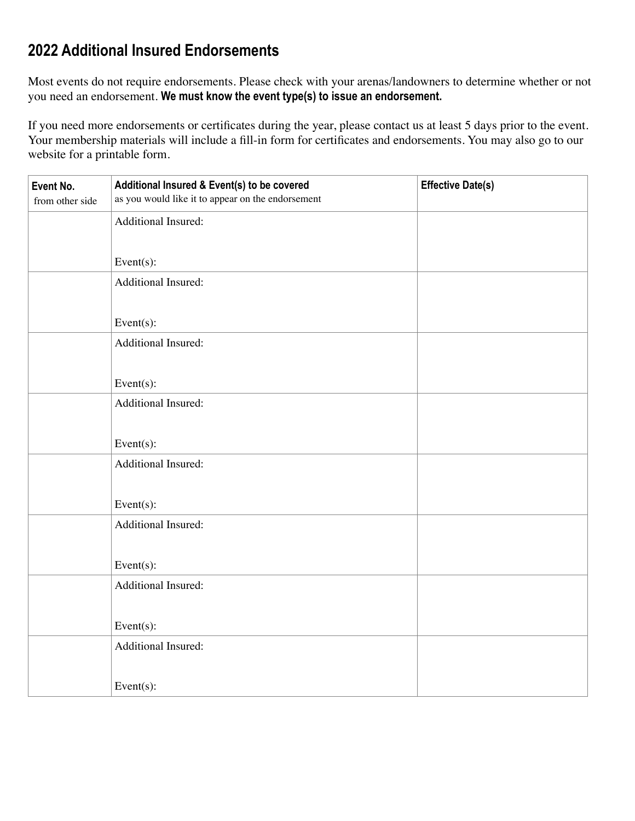# **2022 Additional Insured Endorsements**

Most events do not require endorsements. Please check with your arenas/landowners to determine whether or not you need an endorsement. **We must know the event type(s) to issue an endorsement.**

If you need more endorsements or certificates during the year, please contact us at least 5 days prior to the event. Your membership materials will include a fill-in form for certificates and endorsements. You may also go to our website for a printable form.

| Event No.<br>from other side | Additional Insured & Event(s) to be covered<br>as you would like it to appear on the endorsement | <b>Effective Date(s)</b> |
|------------------------------|--------------------------------------------------------------------------------------------------|--------------------------|
|                              | Additional Insured:                                                                              |                          |
|                              |                                                                                                  |                          |
|                              | Event $(s)$ :                                                                                    |                          |
|                              | Additional Insured:                                                                              |                          |
|                              |                                                                                                  |                          |
|                              | Event $(s)$ :                                                                                    |                          |
|                              | Additional Insured:                                                                              |                          |
|                              |                                                                                                  |                          |
|                              | Event $(s)$ :                                                                                    |                          |
|                              | Additional Insured:                                                                              |                          |
|                              |                                                                                                  |                          |
|                              | Event $(s)$ :                                                                                    |                          |
|                              | Additional Insured:                                                                              |                          |
|                              |                                                                                                  |                          |
|                              | Event $(s)$ :                                                                                    |                          |
|                              | Additional Insured:                                                                              |                          |
|                              |                                                                                                  |                          |
|                              | Event $(s)$ :                                                                                    |                          |
|                              | Additional Insured:                                                                              |                          |
|                              |                                                                                                  |                          |
|                              | Event $(s)$ :                                                                                    |                          |
|                              | Additional Insured:                                                                              |                          |
|                              |                                                                                                  |                          |
|                              | Event $(s)$ :                                                                                    |                          |